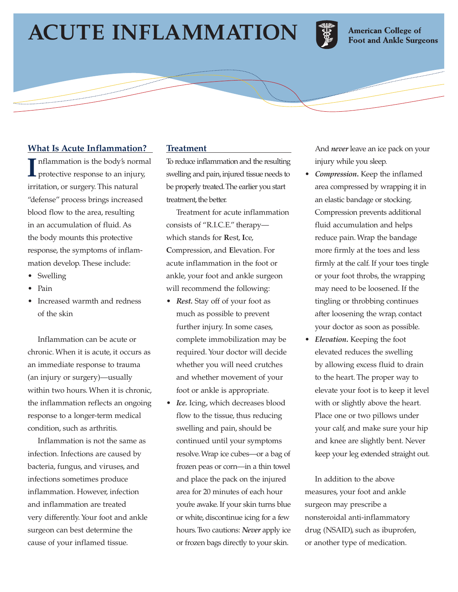# **ACUTE INFLAMMATION**



**American College of Foot and Ankle Surgeons** 

#### **What Is Acute Inflammation?**

**I** nflammation is the body's normal protective response to an injury, irritation, or surgery. This natural "defense" process brings increased blood flow to the area, resulting in an accumulation of fluid. As the body mounts this protective response, the symptoms of inflammation develop. These include:

- Swelling
- Pain
- Increased warmth and redness of the skin

Inflammation can be acute or chronic. When it is acute, it occurs as an immediate response to trauma (an injury or surgery)—usually within two hours. When it is chronic, the inflammation reflects an ongoing response to a longer-term medical condition, such as arthritis.

Inflammation is not the same as infection. Infections are caused by bacteria, fungus, and viruses, and infections sometimes produce inflammation. However, infection and inflammation are treated very differently. Your foot and ankle surgeon can best determine the cause of your inflamed tissue.

#### **Treatment**

To reduce inflammation and the resulting swelling and pain, injured tissue needs to be properly treated.The earlier you start treatment, the better.

Treatment for acute inflammation consists of "R.I.C.E." therapy which stands for **R**est, **I**ce, **C**ompression, and **E**levation. For acute inflammation in the foot or ankle, your foot and ankle surgeon will recommend the following:

- *Rest.* Stay off of your foot as much as possible to prevent further injury. In some cases, complete immobilization may be required. Your doctor will decide whether you will need crutches and whether movement of your foot or ankle is appropriate.
- *Ice.* Icing, which decreases blood flow to the tissue, thus reducing swelling and pain, should be continued until your symptoms resolve. Wrap ice cubes—or a bag of frozen peas or corn—in a thin towel and place the pack on the injured area for 20 minutes of each hour you're awake. If your skin turns blue or white, discontinue icing for a few hours. Two cautions: *Never* apply ice or frozen bags directly to your skin.

And *never* leave an ice pack on your injury while you sleep.

- *Compression***.** Keep the inflamed area compressed by wrapping it in an elastic bandage or stocking. Compression prevents additional fluid accumulation and helps reduce pain. Wrap the bandage more firmly at the toes and less firmly at the calf. If your toes tingle or your foot throbs, the wrapping may need to be loosened. If the tingling or throbbing continues after loosening the wrap, contact your doctor as soon as possible.
- *Elevation***.** Keeping the foot elevated reduces the swelling by allowing excess fluid to drain to the heart. The proper way to elevate your foot is to keep it level with or slightly above the heart. Place one or two pillows under your calf, and make sure your hip and knee are slightly bent. Never keep your leg extended straight out.

In addition to the above measures, your foot and ankle surgeon may prescribe a nonsteroidal anti-inflammatory drug (NSAID), such as ibuprofen, or another type of medication.